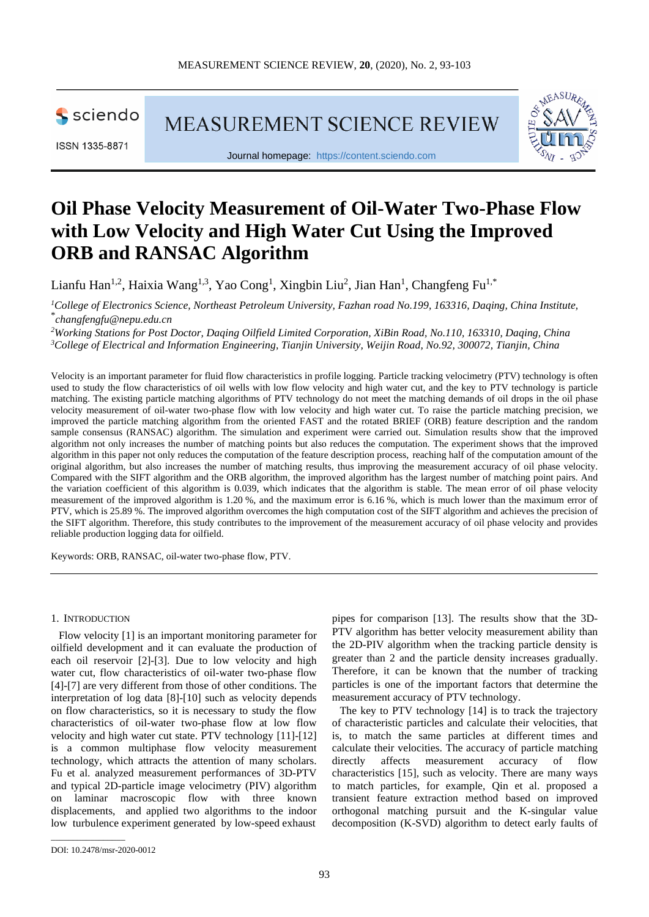

ISSN 1335-8871

**MEASUREMENT SCIENCE REVIEW** 



Journal homepage: [https://content.sciendo.com](https://content.sciendo.com/view/journals/msr/msr-overview.xml)

# **Oil Phase Velocity Measurement of Oil-Water Two-Phase Flow with Low Velocity and High Water Cut Using the Improved ORB and RANSAC Algorithm**

Lianfu Han<sup>1,2</sup>, Haixia Wang<sup>1,3</sup>, Yao Cong<sup>1</sup>, Xingbin Liu<sup>2</sup>, Jian Han<sup>1</sup>, Changfeng Fu<sup>1,\*</sup>

*1 College of Electronics Science, Northeast Petroleum University, Fazhan road No.199, 163316, Daqing, China Institute,* \* *changfengfu@nepu.edu.cn*

*2 Working Stations for Post Doctor, Daqing Oilfield Limited Corporation, XiBin Road, No.110, 163310, Daqing, China 3 College of Electrical and Information Engineering, Tianjin University, Weijin Road, No.92, 300072, Tianjin, China*

Velocity is an important parameter for fluid flow characteristics in profile logging. Particle tracking velocimetry (PTV) technology is often used to study the flow characteristics of oil wells with low flow velocity and high water cut, and the key to PTV technology is particle matching. The existing particle matching algorithms of PTV technology do not meet the matching demands of oil drops in the oil phase velocity measurement of oil-water two-phase flow with low velocity and high water cut. To raise the particle matching precision, we improved the particle matching algorithm from the oriented FAST and the rotated BRIEF (ORB) feature description and the random sample consensus (RANSAC) algorithm. The simulation and experiment were carried out. Simulation results show that the improved algorithm not only increases the number of matching points but also reduces the computation. The experiment shows that the improved algorithm in this paper not only reduces the computation of the feature description process, reaching half of the computation amount of the original algorithm, but also increases the number of matching results, thus improving the measurement accuracy of oil phase velocity. Compared with the SIFT algorithm and the ORB algorithm, the improved algorithm has the largest number of matching point pairs. And the variation coefficient of this algorithm is 0.039, which indicates that the algorithm is stable. The mean error of oil phase velocity measurement of the improved algorithm is 1.20 %, and the maximum error is 6.16 %, which is much lower than the maximum error of PTV, which is 25.89 %. The improved algorithm overcomes the high computation cost of the SIFT algorithm and achieves the precision of the SIFT algorithm. Therefore, this study contributes to the improvement of the measurement accuracy of oil phase velocity and provides reliable production logging data for oilfield.

Keywords: ORB, RANSAC, oil-water two-phase flow, PTV.

## 1. INTRODUCTION

Flow velocity [1] is an important monitoring parameter for oilfield development and it can evaluate the production of each oil reservoir [2]-[3]. Due to low velocity and high water cut, flow characteristics of oil-water two-phase flow [4]-[7] are very different from those of other conditions. The interpretation of log data [8]-[10] such as velocity depends on flow characteristics, so it is necessary to study the flow characteristics of oil-water two-phase flow at low flow velocity and high water cut state. PTV technology [11]-[12] is a common multiphase flow velocity measurement technology, which attracts the attention of many scholars. Fu et al. analyzed measurement performances of 3D-PTV and typical 2D-particle image velocimetry (PIV) algorithm on laminar macroscopic flow with three known displacements, and applied two algorithms to the indoor low turbulence experiment generated by low-speed exhaust

pipes for comparison [13]. The results show that the 3D-PTV algorithm has better velocity measurement ability than the 2D-PIV algorithm when the tracking particle density is greater than 2 and the particle density increases gradually. Therefore, it can be known that the number of tracking particles is one of the important factors that determine the measurement accuracy of PTV technology.

The key to PTV technology [14] is to track the trajectory of characteristic particles and calculate their velocities, that is, to match the same particles at different times and calculate their velocities. The accuracy of particle matching directly affects measurement accuracy of flow characteristics [15], such as velocity. There are many ways to match particles, for example, Qin et al. proposed a transient feature extraction method based on improved orthogonal matching pursuit and the K-singular value decomposition (K-SVD) algorithm to detect early faults of

\_\_\_\_\_\_\_\_\_\_\_\_\_\_\_\_\_

DOI: 10.2478/msr-2020-0012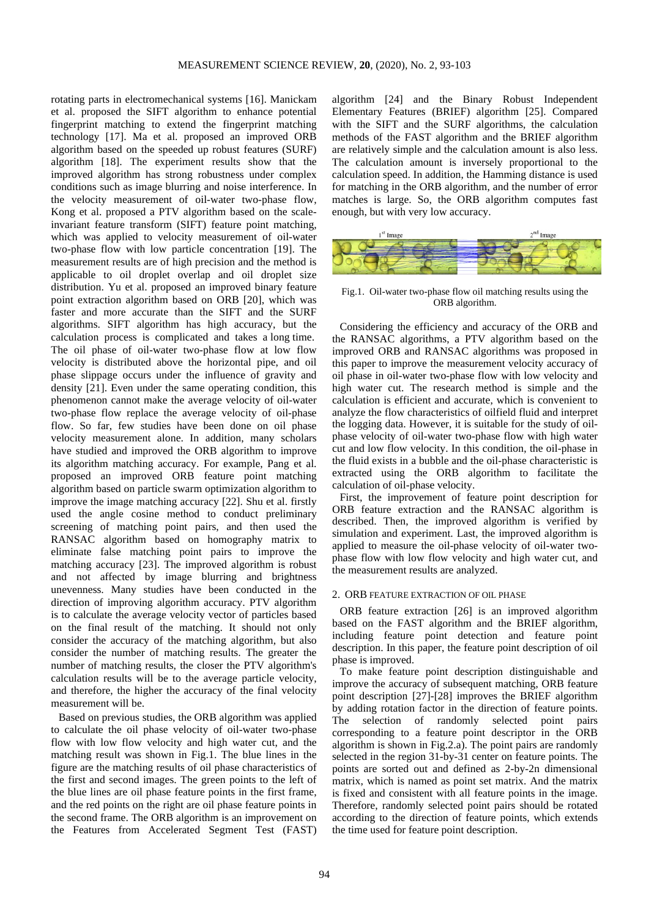rotating parts in electromechanical systems [16]. Manickam et al. proposed the SIFT algorithm to enhance potential fingerprint matching to extend the fingerprint matching technology [17]. Ma et al. proposed an improved ORB algorithm based on the speeded up robust features (SURF) algorithm [18]. The experiment results show that the improved algorithm has strong robustness under complex conditions such as image blurring and noise interference. In the velocity measurement of oil-water two-phase flow, Kong et al. proposed a PTV algorithm based on the scaleinvariant feature transform (SIFT) feature point matching, which was applied to velocity measurement of oil-water two-phase flow with low particle concentration [19]. The measurement results are of high precision and the method is applicable to oil droplet overlap and oil droplet size distribution. Yu et al. proposed an improved binary feature point extraction algorithm based on ORB [20], which was faster and more accurate than the SIFT and the SURF algorithms. SIFT algorithm has high accuracy, but the calculation process is complicated and takes a long time. The oil phase of oil-water two-phase flow at low flow velocity is distributed above the horizontal pipe, and oil phase slippage occurs under the influence of gravity and density [21]. Even under the same operating condition, this phenomenon cannot make the average velocity of oil-water two-phase flow replace the average velocity of oil-phase flow. So far, few studies have been done on oil phase velocity measurement alone. In addition, many scholars have studied and improved the ORB algorithm to improve its algorithm matching accuracy. For example, Pang et al. proposed an improved ORB feature point matching algorithm based on particle swarm optimization algorithm to improve the image matching accuracy [22]. Shu et al. firstly used the angle cosine method to conduct preliminary screening of matching point pairs, and then used the RANSAC algorithm based on homography matrix to eliminate false matching point pairs to improve the matching accuracy [23]. The improved algorithm is robust and not affected by image blurring and brightness unevenness. Many studies have been conducted in the direction of improving algorithm accuracy. PTV algorithm is to calculate the average velocity vector of particles based on the final result of the matching. It should not only consider the accuracy of the matching algorithm, but also consider the number of matching results. The greater the number of matching results, the closer the PTV algorithm's calculation results will be to the average particle velocity, and therefore, the higher the accuracy of the final velocity measurement will be.

Based on previous studies, the ORB algorithm was applied to calculate the oil phase velocity of oil-water two-phase flow with low flow velocity and high water cut, and the matching result was shown in Fig.1. The blue lines in the figure are the matching results of oil phase characteristics of the first and second images. The green points to the left of the blue lines are oil phase feature points in the first frame, and the red points on the right are oil phase feature points in the second frame. The ORB algorithm is an improvement on the Features from Accelerated Segment Test (FAST) algorithm [24] and the Binary Robust Independent Elementary Features (BRIEF) algorithm [25]. Compared with the SIFT and the SURF algorithms, the calculation methods of the FAST algorithm and the BRIEF algorithm are relatively simple and the calculation amount is also less. The calculation amount is inversely proportional to the calculation speed. In addition, the Hamming distance is used for matching in the ORB algorithm, and the number of error matches is large. So, the ORB algorithm computes fast enough, but with very low accuracy.



Fig.1. Oil-water two-phase flow oil matching results using the ORB algorithm.

Considering the efficiency and accuracy of the ORB and the RANSAC algorithms, a PTV algorithm based on the improved ORB and RANSAC algorithms was proposed in this paper to improve the measurement velocity accuracy of oil phase in oil-water two-phase flow with low velocity and high water cut. The research method is simple and the calculation is efficient and accurate, which is convenient to analyze the flow characteristics of oilfield fluid and interpret the logging data. However, it is suitable for the study of oilphase velocity of oil-water two-phase flow with high water cut and low flow velocity. In this condition, the oil-phase in the fluid exists in a bubble and the oil-phase characteristic is extracted using the ORB algorithm to facilitate the calculation of oil-phase velocity.

First, the improvement of feature point description for ORB feature extraction and the RANSAC algorithm is described. Then, the improved algorithm is verified by simulation and experiment. Last, the improved algorithm is applied to measure the oil-phase velocity of oil-water twophase flow with low flow velocity and high water cut, and the measurement results are analyzed.

## 2. ORB FEATURE EXTRACTION OF OIL PHASE

ORB feature extraction [26] is an improved algorithm based on the FAST algorithm and the BRIEF algorithm, including feature point detection and feature point description. In this paper, the feature point description of oil phase is improved.

To make feature point description distinguishable and improve the accuracy of subsequent matching, ORB feature point description [27]-[28] improves the BRIEF algorithm by adding rotation factor in the direction of feature points. The selection of randomly selected point pairs corresponding to a feature point descriptor in the ORB algorithm is shown in Fig.2.a). The point pairs are randomly selected in the region 31-by-31 center on feature points. The points are sorted out and defined as 2-by-2n dimensional matrix, which is named as point set matrix. And the matrix is fixed and consistent with all feature points in the image. Therefore, randomly selected point pairs should be rotated according to the direction of feature points, which extends the time used for feature point description.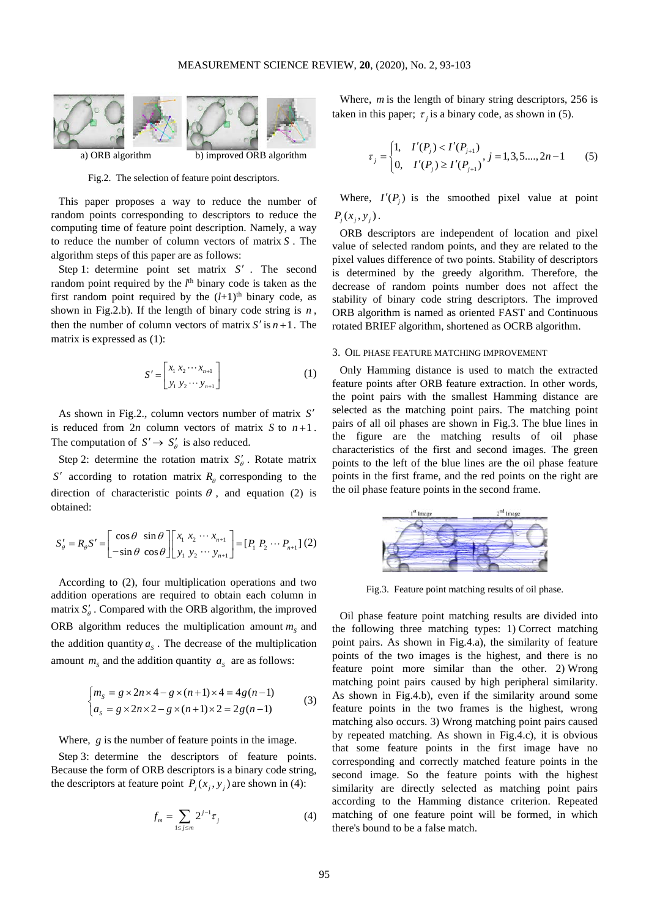

Fig.2. The selection of feature point descriptors.

This paper proposes a way to reduce the number of random points corresponding to descriptors to reduce the computing time of feature point description. Namely, a way to reduce the number of column vectors of matrix *S* . The algorithm steps of this paper are as follows:

Step 1: determine point set matrix *S*′ . The second random point required by the *l*<sup>th</sup> binary code is taken as the first random point required by the  $(l+1)$ <sup>th</sup> binary code, as shown in Fig.2.b). If the length of binary code string is *n* , then the number of column vectors of matrix  $S'$  is  $n+1$ . The matrix is expressed as (1):

$$
S' = \begin{bmatrix} x_1 & x_2 & \cdots & x_{n+1} \\ y_1 & y_2 & \cdots & y_{n+1} \end{bmatrix}
$$
 (1)

As shown in Fig.2., column vectors number of matrix *S*′ is reduced from  $2n$  column vectors of matrix *S* to  $n+1$ . The computation of  $S' \rightarrow S'_{\theta}$  is also reduced.

Step 2: determine the rotation matrix  $S'_{\theta}$ . Rotate matrix *S*<sup> $\prime$ </sup> according to rotation matrix  $R_{\theta}$  corresponding to the direction of characteristic points  $\theta$ , and equation (2) is obtained:

$$
S'_{\theta} = R_{\theta} S' = \begin{bmatrix} \cos \theta & \sin \theta \\ -\sin \theta & \cos \theta \end{bmatrix} \begin{bmatrix} x_1 & x_2 & \cdots & x_{n+1} \\ y_1 & y_2 & \cdots & y_{n+1} \end{bmatrix} = [P_1 \, P_2 \, \cdots \, P_{n+1}] \tag{2}
$$

According to (2), four multiplication operations and two addition operations are required to obtain each column in matrix  $S_\theta'$ . Compared with the ORB algorithm, the improved ORB algorithm reduces the multiplication amount  $m<sub>s</sub>$  and the addition quantity  $a<sub>s</sub>$ . The decrease of the multiplication amount  $m<sub>s</sub>$  and the addition quantity  $a<sub>s</sub>$  are as follows:

$$
\begin{cases} m_s = g \times 2n \times 4 - g \times (n+1) \times 4 = 4g(n-1) \\ a_s = g \times 2n \times 2 - g \times (n+1) \times 2 = 2g(n-1) \end{cases}
$$
 (3)

Where, *g* is the number of feature points in the image.

Step 3: determine the descriptors of feature points. Because the form of ORB descriptors is a binary code string, the descriptors at feature point  $P_i(x_i, y_i)$  are shown in (4):

$$
f_m = \sum_{1 \le j \le m} 2^{j-1} \tau_j \tag{4}
$$

Where, *m* is the length of binary string descriptors, 256 is taken in this paper;  $\tau$ , is a binary code, as shown in (5).

$$
\tau_j = \begin{cases} 1, & I'(P_j) < I'(P_{j+1}) \\ 0, & I'(P_j) \ge I'(P_{j+1}), \ j = 1, 3, 5, \dots, 2n - 1 \end{cases} \tag{5}
$$

Where,  $I'(P_i)$  is the smoothed pixel value at point  $P_i(x_i, y_j)$ .

ORB descriptors are independent of location and pixel value of selected random points, and they are related to the pixel values difference of two points. Stability of descriptors is determined by the greedy algorithm. Therefore, the decrease of random points number does not affect the stability of binary code string descriptors. The improved ORB algorithm is named as oriented FAST and Continuous rotated BRIEF algorithm, shortened as OCRB algorithm.

# 3. OIL PHASE FEATURE MATCHING IMPROVEMENT

Only Hamming distance is used to match the extracted feature points after ORB feature extraction. In other words, the point pairs with the smallest Hamming distance are selected as the matching point pairs. The matching point pairs of all oil phases are shown in Fig.3. The blue lines in the figure are the matching results of oil phase characteristics of the first and second images. The green points to the left of the blue lines are the oil phase feature points in the first frame, and the red points on the right are the oil phase feature points in the second frame.



Fig.3. Feature point matching results of oil phase.

Oil phase feature point matching results are divided into the following three matching types: 1) Correct matching point pairs. As shown in Fig.4.a), the similarity of feature points of the two images is the highest, and there is no feature point more similar than the other. 2) Wrong matching point pairs caused by high peripheral similarity. As shown in Fig.4.b), even if the similarity around some feature points in the two frames is the highest, wrong matching also occurs. 3) Wrong matching point pairs caused by repeated matching. As shown in Fig.4.c), it is obvious that some feature points in the first image have no corresponding and correctly matched feature points in the second image. So the feature points with the highest similarity are directly selected as matching point pairs according to the Hamming distance criterion. Repeated matching of one feature point will be formed, in which there's bound to be a false match.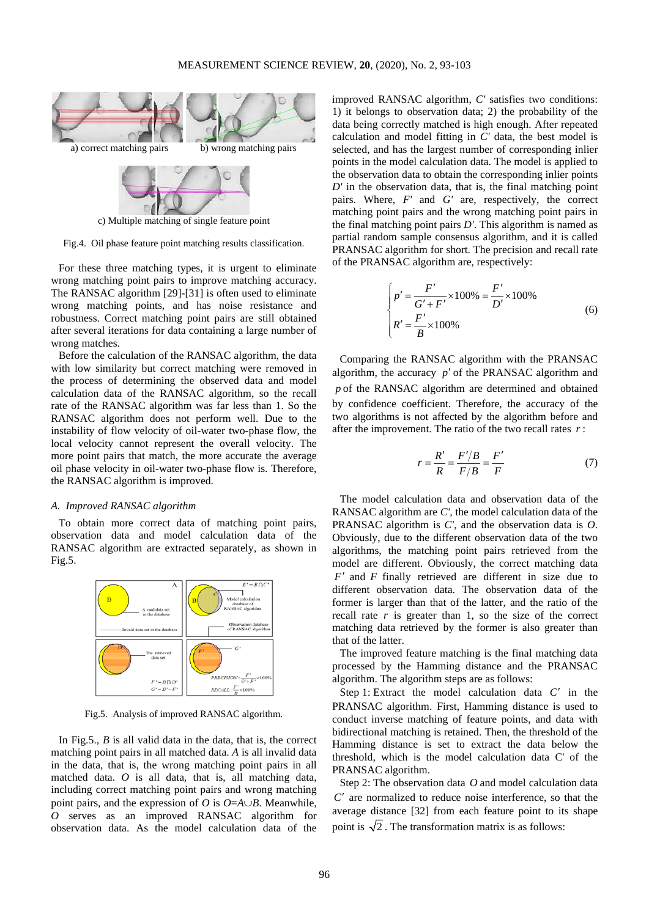

c) Multiple matching of single feature point

Fig.4. Oil phase feature point matching results classification.

For these three matching types, it is urgent to eliminate wrong matching point pairs to improve matching accuracy. The RANSAC algorithm [29]-[31] is often used to eliminate wrong matching points, and has noise resistance and robustness. Correct matching point pairs are still obtained after several iterations for data containing a large number of wrong matches.

Before the calculation of the RANSAC algorithm, the data with low similarity but correct matching were removed in the process of determining the observed data and model calculation data of the RANSAC algorithm, so the recall rate of the RANSAC algorithm was far less than 1. So the RANSAC algorithm does not perform well. Due to the instability of flow velocity of oil-water two-phase flow, the local velocity cannot represent the overall velocity. The more point pairs that match, the more accurate the average oil phase velocity in oil-water two-phase flow is. Therefore, the RANSAC algorithm is improved.

## *A. Improved RANSAC algorithm*

To obtain more correct data of matching point pairs, observation data and model calculation data of the RANSAC algorithm are extracted separately, as shown in Fig.5.



Fig.5. Analysis of improved RANSAC algorithm.

In Fig.5., *B* is all valid data in the data, that is, the correct matching point pairs in all matched data. *A* is all invalid data in the data, that is, the wrong matching point pairs in all matched data. *O* is all data, that is, all matching data, including correct matching point pairs and wrong matching point pairs, and the expression of *O* is *O*=*A*∪*B*. Meanwhile, *O* serves as an improved RANSAC algorithm for observation data. As the model calculation data of the improved RANSAC algorithm, *C'* satisfies two conditions: 1) it belongs to observation data; 2) the probability of the data being correctly matched is high enough. After repeated calculation and model fitting in *C'* data, the best model is selected, and has the largest number of corresponding inlier points in the model calculation data. The model is applied to the observation data to obtain the corresponding inlier points *D'* in the observation data, that is, the final matching point pairs. Where, *F'* and *G'* are, respectively, the correct matching point pairs and the wrong matching point pairs in the final matching point pairs *D'*. This algorithm is named as partial random sample consensus algorithm, and it is called PRANSAC algorithm for short. The precision and recall rate of the PRANSAC algorithm are, respectively:

$$
\begin{cases}\np' = \frac{F'}{G' + F'} \times 100\% = \frac{F'}{D'} \times 100\%\\
R' = \frac{F'}{B} \times 100\% \n\end{cases} \tag{6}
$$

Comparing the RANSAC algorithm with the PRANSAC algorithm, the accuracy *p*′ of the PRANSAC algorithm and *p* of the RANSAC algorithm are determined and obtained by confidence coefficient. Therefore, the accuracy of the two algorithms is not affected by the algorithm before and after the improvement. The ratio of the two recall rates *r* :

$$
r = \frac{R'}{R} = \frac{F'/B}{F/B} = \frac{F'}{F}
$$
 (7)

The model calculation data and observation data of the RANSAC algorithm are *C'*, the model calculation data of the PRANSAC algorithm is *C'*, and the observation data is *O*. Obviously, due to the different observation data of the two algorithms, the matching point pairs retrieved from the model are different. Obviously, the correct matching data *F*′ and *F* finally retrieved are different in size due to different observation data. The observation data of the former is larger than that of the latter, and the ratio of the recall rate  $r$  is greater than 1, so the size of the correct matching data retrieved by the former is also greater than that of the latter.

The improved feature matching is the final matching data processed by the Hamming distance and the PRANSAC algorithm. The algorithm steps are as follows:

Step 1: Extract the model calculation data *C*′ in the PRANSAC algorithm. First, Hamming distance is used to conduct inverse matching of feature points, and data with bidirectional matching is retained. Then, the threshold of the Hamming distance is set to extract the data below the threshold, which is the model calculation data C' of the PRANSAC algorithm.

Step 2: The observation data *O* and model calculation data *C*′ are normalized to reduce noise interference, so that the average distance [32] from each feature point to its shape point is  $\sqrt{2}$ . The transformation matrix is as follows: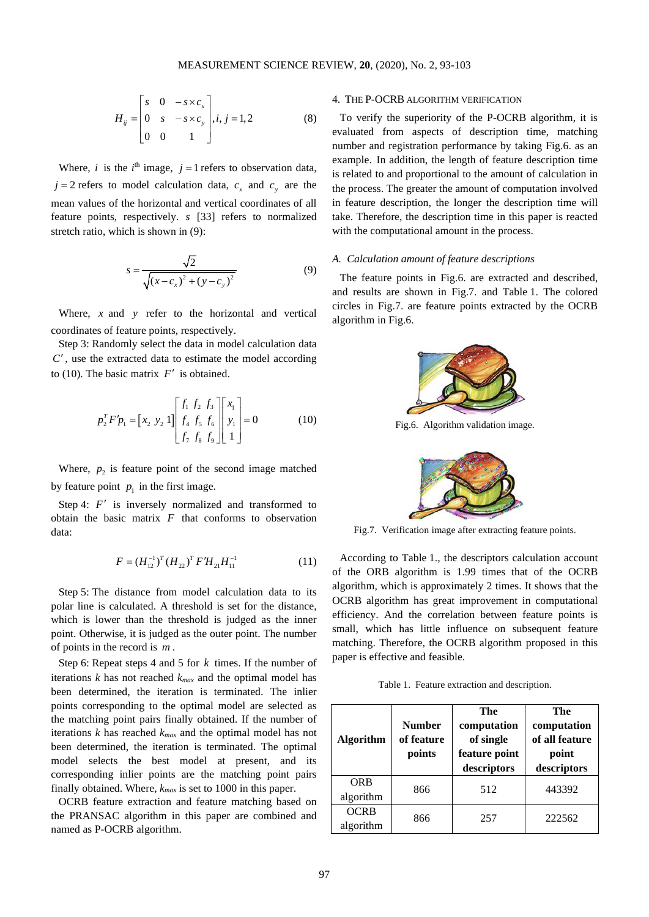$$
H_{ij} = \begin{bmatrix} s & 0 & -s \times c_x \\ 0 & s & -s \times c_y \\ 0 & 0 & 1 \end{bmatrix}, i, j = 1, 2
$$
 (8)

Where, *i* is the  $i^{\text{th}}$  image,  $j = 1$  refers to observation data,  $j = 2$  refers to model calculation data,  $c<sub>x</sub>$  and  $c<sub>y</sub>$  are the mean values of the horizontal and vertical coordinates of all feature points, respectively. *s* [33] refers to normalized stretch ratio, which is shown in (9):

$$
s = \frac{\sqrt{2}}{\sqrt{(x - c_x)^2 + (y - c_y)^2}}
$$
(9)

Where, *x* and *y* refer to the horizontal and vertical coordinates of feature points, respectively.

Step 3: Randomly select the data in model calculation data *C*′ , use the extracted data to estimate the model according to (10). The basic matrix  $F'$  is obtained.

$$
p_2^T F' p_1 = \begin{bmatrix} x_2 & y_2 & 1 \end{bmatrix} \begin{bmatrix} f_1 & f_2 & f_3 \\ f_4 & f_5 & f_6 \\ f_7 & f_8 & f_9 \end{bmatrix} \begin{bmatrix} x_1 \\ y_1 \\ 1 \end{bmatrix} = 0 \tag{10}
$$

Where,  $p_2$  is feature point of the second image matched by feature point  $p_1$  in the first image.

Step 4: *F'* is inversely normalized and transformed to obtain the basic matrix *F* that conforms to observation data:

$$
F = (H_{12}^{-1})^T (H_{22})^T F'H_{21}H_{11}^{-1}
$$
 (11)

Step 5: The distance from model calculation data to its polar line is calculated. A threshold is set for the distance, which is lower than the threshold is judged as the inner point. Otherwise, it is judged as the outer point. The number of points in the record is *m* .

Step 6: Repeat steps 4 and 5 for *k* times. If the number of iterations *k* has not reached *kmax* and the optimal model has been determined, the iteration is terminated. The inlier points corresponding to the optimal model are selected as the matching point pairs finally obtained. If the number of iterations *k* has reached *kmax* and the optimal model has not been determined, the iteration is terminated. The optimal model selects the best model at present, and its corresponding inlier points are the matching point pairs finally obtained. Where, *kmax* is set to 1000 in this paper.

OCRB feature extraction and feature matching based on the PRANSAC algorithm in this paper are combined and named as P-OCRB algorithm.

# 4. THE P-OCRB ALGORITHM VERIFICATION

To verify the superiority of the P-OCRB algorithm, it is evaluated from aspects of description time, matching number and registration performance by taking Fig.6. as an example. In addition, the length of feature description time is related to and proportional to the amount of calculation in the process. The greater the amount of computation involved in feature description, the longer the description time will take. Therefore, the description time in this paper is reacted with the computational amount in the process.

## *A. Calculation amount of feature descriptions*

The feature points in Fig.6. are extracted and described, and results are shown in Fig.7. and Table 1. The colored circles in Fig.7. are feature points extracted by the OCRB algorithm in Fig.6.



Fig.6. Algorithm validation image.



Fig.7. Verification image after extracting feature points.

According to Table 1., the descriptors calculation account of the ORB algorithm is 1.99 times that of the OCRB algorithm, which is approximately 2 times. It shows that the OCRB algorithm has great improvement in computational efficiency. And the correlation between feature points is small, which has little influence on subsequent feature matching. Therefore, the OCRB algorithm proposed in this paper is effective and feasible.

Table 1. Feature extraction and description.

| <b>Algorithm</b>         | <b>Number</b><br>of feature<br>points | The<br>computation<br>of single<br>feature point<br>descriptors | The<br>computation<br>of all feature<br>point<br>descriptors |  |  |
|--------------------------|---------------------------------------|-----------------------------------------------------------------|--------------------------------------------------------------|--|--|
| <b>ORB</b><br>algorithm  | 866                                   | 512                                                             | 443392                                                       |  |  |
| <b>OCRB</b><br>algorithm | 866                                   | 257                                                             | 222562                                                       |  |  |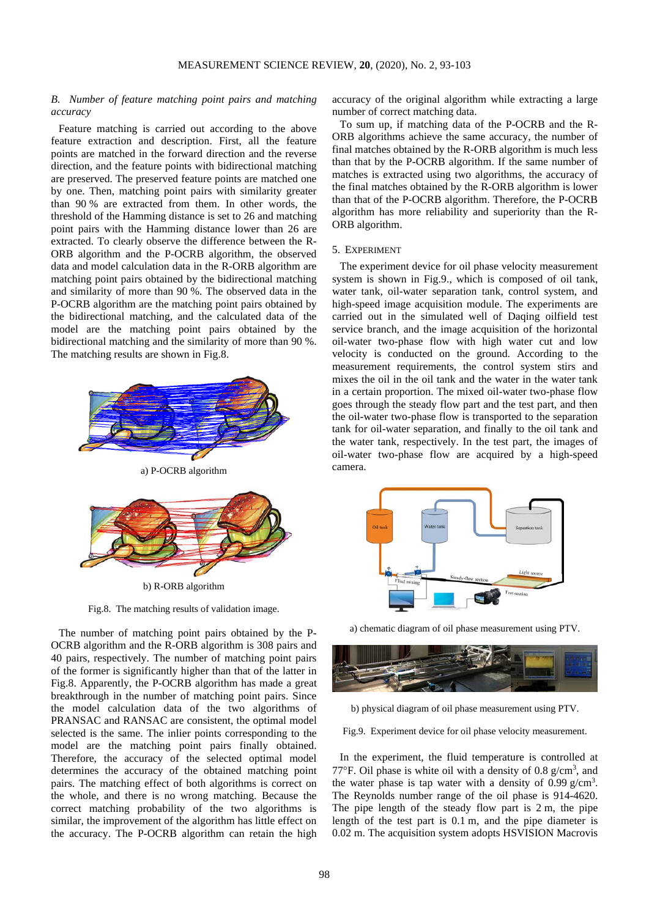# *B. Number of feature matching point pairs and matching accuracy*

Feature matching is carried out according to the above feature extraction and description. First, all the feature points are matched in the forward direction and the reverse direction, and the feature points with bidirectional matching are preserved. The preserved feature points are matched one by one. Then, matching point pairs with similarity greater than 90 % are extracted from them. In other words, the threshold of the Hamming distance is set to 26 and matching point pairs with the Hamming distance lower than 26 are extracted. To clearly observe the difference between the R-ORB algorithm and the P-OCRB algorithm, the observed data and model calculation data in the R-ORB algorithm are matching point pairs obtained by the bidirectional matching and similarity of more than 90 %. The observed data in the P-OCRB algorithm are the matching point pairs obtained by the bidirectional matching, and the calculated data of the model are the matching point pairs obtained by the bidirectional matching and the similarity of more than 90 %. The matching results are shown in Fig.8.



b) R-ORB algorithm

Fig.8. The matching results of validation image.

The number of matching point pairs obtained by the P-OCRB algorithm and the R-ORB algorithm is 308 pairs and 40 pairs, respectively. The number of matching point pairs of the former is significantly higher than that of the latter in Fig.8. Apparently, the P-OCRB algorithm has made a great breakthrough in the number of matching point pairs. Since the model calculation data of the two algorithms of PRANSAC and RANSAC are consistent, the optimal model selected is the same. The inlier points corresponding to the model are the matching point pairs finally obtained. Therefore, the accuracy of the selected optimal model determines the accuracy of the obtained matching point pairs. The matching effect of both algorithms is correct on the whole, and there is no wrong matching. Because the correct matching probability of the two algorithms is similar, the improvement of the algorithm has little effect on the accuracy. The P-OCRB algorithm can retain the high

accuracy of the original algorithm while extracting a large number of correct matching data.

To sum up, if matching data of the P-OCRB and the R-ORB algorithms achieve the same accuracy, the number of final matches obtained by the R-ORB algorithm is much less than that by the P-OCRB algorithm. If the same number of matches is extracted using two algorithms, the accuracy of the final matches obtained by the R-ORB algorithm is lower than that of the P-OCRB algorithm. Therefore, the P-OCRB algorithm has more reliability and superiority than the R-ORB algorithm.

#### 5. EXPERIMENT

The experiment device for oil phase velocity measurement system is shown in Fig.9., which is composed of oil tank, water tank, oil-water separation tank, control system, and high-speed image acquisition module. The experiments are carried out in the simulated well of Daqing oilfield test service branch, and the image acquisition of the horizontal oil-water two-phase flow with high water cut and low velocity is conducted on the ground. According to the measurement requirements, the control system stirs and mixes the oil in the oil tank and the water in the water tank in a certain proportion. The mixed oil-water two-phase flow goes through the steady flow part and the test part, and then the oil-water two-phase flow is transported to the separation tank for oil-water separation, and finally to the oil tank and the water tank, respectively. In the test part, the images of oil-water two-phase flow are acquired by a high-speed camera.



a) chematic diagram of oil phase measurement using PTV.



b) physical diagram of oil phase measurement using PTV.

Fig.9. Experiment device for oil phase velocity measurement.

In the experiment, the fluid temperature is controlled at 77°F. Oil phase is white oil with a density of 0.8  $g/cm^3$ , and the water phase is tap water with a density of  $0.99$  g/cm<sup>3</sup>. The Reynolds number range of the oil phase is 914-4620. The pipe length of the steady flow part is 2 m, the pipe length of the test part is 0.1 m, and the pipe diameter is 0.02 m. The acquisition system adopts HSVISION Macrovis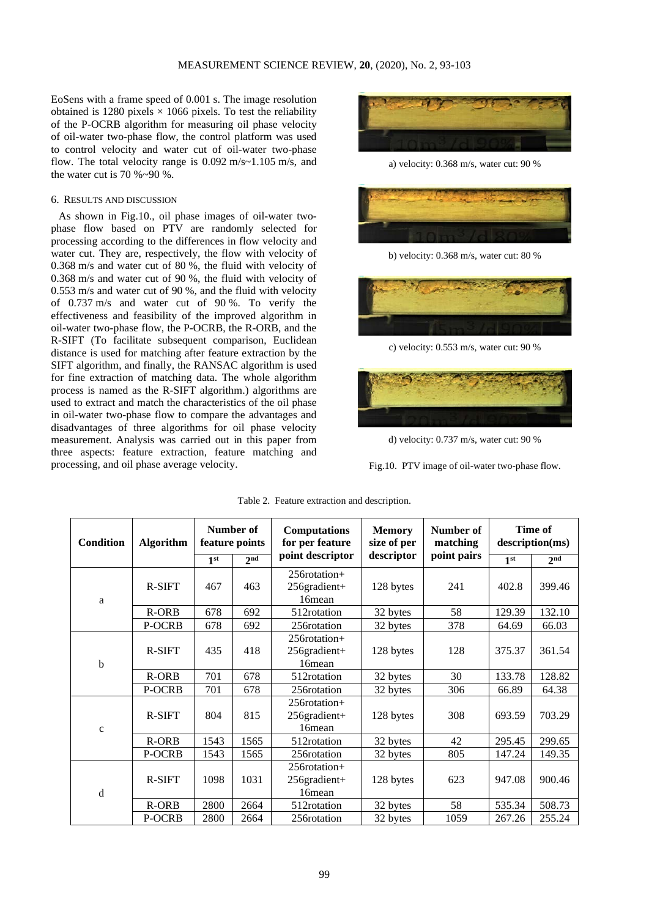EoSens with a frame speed of 0.001 s. The image resolution obtained is 1280 pixels  $\times$  1066 pixels. To test the reliability of the P-OCRB algorithm for measuring oil phase velocity of oil-water two-phase flow, the control platform was used to control velocity and water cut of oil-water two-phase flow. The total velocity range is 0.092 m/s~1.105 m/s, and the water cut is 70 %~90 %.

# 6. RESULTS AND DISCUSSION

As shown in Fig.10., oil phase images of oil-water twophase flow based on PTV are randomly selected for processing according to the differences in flow velocity and water cut. They are, respectively, the flow with velocity of 0.368 m/s and water cut of 80 %, the fluid with velocity of 0.368 m/s and water cut of 90 %, the fluid with velocity of 0.553 m/s and water cut of 90 %, and the fluid with velocity of 0.737 m/s and water cut of 90 %. To verify the effectiveness and feasibility of the improved algorithm in oil-water two-phase flow, the P-OCRB, the R-ORB, and the R-SIFT (To facilitate subsequent comparison, Euclidean distance is used for matching after feature extraction by the SIFT algorithm, and finally, the RANSAC algorithm is used for fine extraction of matching data. The whole algorithm process is named as the R-SIFT algorithm.) algorithms are used to extract and match the characteristics of the oil phase in oil-water two-phase flow to compare the advantages and disadvantages of three algorithms for oil phase velocity measurement. Analysis was carried out in this paper from three aspects: feature extraction, feature matching and processing, and oil phase average velocity.



a) velocity: 0.368 m/s, water cut: 90 %



b) velocity: 0.368 m/s, water cut: 80 %



c) velocity: 0.553 m/s, water cut: 90 %



d) velocity: 0.737 m/s, water cut: 90 %

Fig.10. PTV image of oil-water two-phase flow.

| <b>Condition</b> | <b>Algorithm</b> | Number of<br>feature points |                 | <b>Computations</b><br>for per feature                | <b>Memory</b><br>size of per | Number of<br>matching | Time of<br>description(ms) |                 |
|------------------|------------------|-----------------------------|-----------------|-------------------------------------------------------|------------------------------|-----------------------|----------------------------|-----------------|
|                  |                  | $1^{\rm st}$                | 2 <sub>nd</sub> | point descriptor                                      | descriptor                   | point pairs           | 1 <sup>st</sup>            | 2 <sub>nd</sub> |
| a                | R-SIFT           | 467                         | 463             | 256rotation+<br>256gradient+<br>16 <sub>mean</sub>    | 128 bytes                    | 241                   | 402.8                      | 399.46          |
|                  | R-ORB            | 678                         | 692             | 512rotation                                           | 32 bytes                     | 58                    | 129.39                     | 132.10          |
|                  | P-OCRB           | 678                         | 692             | 256rotation                                           | 32 bytes                     | 378                   | 64.69                      | 66.03           |
| $\mathbf b$      | R-SIFT           | 435                         | 418             | $256$ rotation+<br>256gradient+<br>16 <sub>mean</sub> | 128 bytes                    | 128                   | 375.37                     | 361.54          |
|                  | R-ORB            | 701                         | 678             | 512rotation                                           | 32 bytes                     | 30                    | 133.78                     | 128.82          |
|                  | P-OCRB           | 701                         | 678             | 256rotation                                           | 32 bytes                     | 306                   | 66.89                      | 64.38           |
| $\mathbf c$      | R-SIFT           | 804                         | 815             | $256$ rotation+<br>256gradient+<br>16 <sub>mean</sub> | 128 bytes                    | 308                   | 693.59                     | 703.29          |
|                  | R-ORB            | 1543                        | 1565            | 512rotation                                           | 32 bytes                     | 42                    | 295.45                     | 299.65          |
|                  | P-OCRB           | 1543                        | 1565            | 256 rotation                                          | 32 bytes                     | 805                   | 147.24                     | 149.35          |
| d                | R-SIFT           | 1098                        | 1031            | $256$ rotation+<br>256gradient+<br>16 <sub>mean</sub> | 128 bytes                    | 623                   | 947.08                     | 900.46          |
|                  | R-ORB            | 2800                        | 2664            | 512rotation                                           | 32 bytes                     | 58                    | 535.34                     | 508.73          |
|                  | P-OCRB           | 2800                        | 2664            | 256rotation                                           | 32 bytes                     | 1059                  | 267.26                     | 255.24          |

Table 2. Feature extraction and description.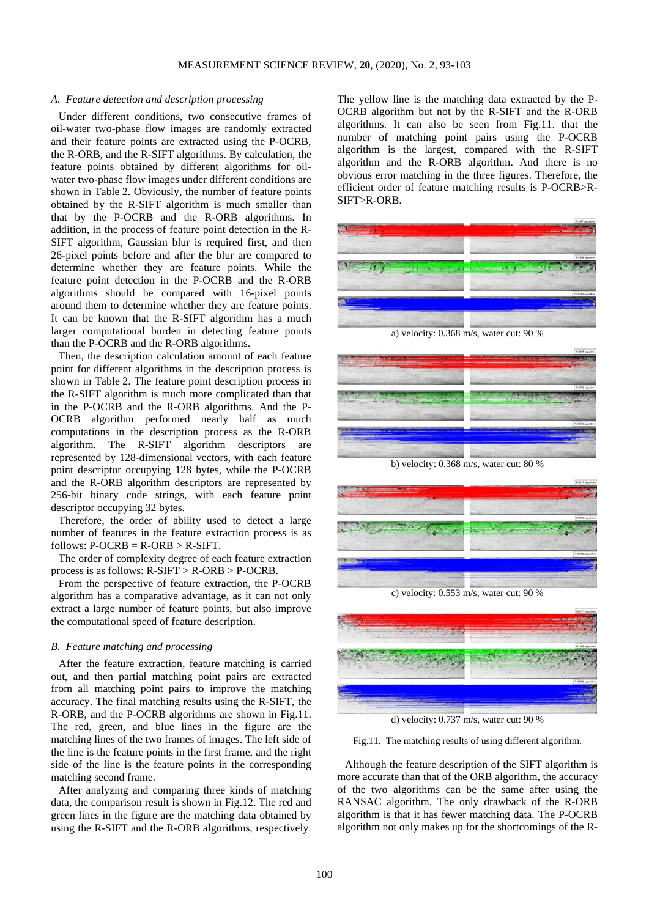## *A. Feature detection and description processing*

Under different conditions, two consecutive frames of oil-water two-phase flow images are randomly extracted and their feature points are extracted using the P-OCRB, the R-ORB, and the R-SIFT algorithms. By calculation, the feature points obtained by different algorithms for oilwater two-phase flow images under different conditions are shown in Table 2. Obviously, the number of feature points obtained by the R-SIFT algorithm is much smaller than that by the P-OCRB and the R-ORB algorithms. In addition, in the process of feature point detection in the R-SIFT algorithm, Gaussian blur is required first, and then 26-pixel points before and after the blur are compared to determine whether they are feature points. While the feature point detection in the P-OCRB and the R-ORB algorithms should be compared with 16-pixel points around them to determine whether they are feature points. It can be known that the R-SIFT algorithm has a much larger computational burden in detecting feature points than the P-OCRB and the R-ORB algorithms.

Then, the description calculation amount of each feature point for different algorithms in the description process is shown in Table 2. The feature point description process in the R-SIFT algorithm is much more complicated than that in the P-OCRB and the R-ORB algorithms. And the P-OCRB algorithm performed nearly half as much computations in the description process as the R-ORB algorithm. The R-SIFT algorithm descriptors are represented by 128-dimensional vectors, with each feature point descriptor occupying 128 bytes, while the P-OCRB and the R-ORB algorithm descriptors are represented by 256-bit binary code strings, with each feature point descriptor occupying 32 bytes.

Therefore, the order of ability used to detect a large number of features in the feature extraction process is as follows:  $P-OCRB = R-ORB > R-SIFT$ .

The order of complexity degree of each feature extraction process is as follows: R-SIFT > R-ORB > P-OCRB.

From the perspective of feature extraction, the P-OCRB algorithm has a comparative advantage, as it can not only extract a large number of feature points, but also improve the computational speed of feature description.

## *B. Feature matching and processing*

After the feature extraction, feature matching is carried out, and then partial matching point pairs are extracted from all matching point pairs to improve the matching accuracy. The final matching results using the R-SIFT, the R-ORB, and the P-OCRB algorithms are shown in Fig.11. The red, green, and blue lines in the figure are the matching lines of the two frames of images. The left side of the line is the feature points in the first frame, and the right side of the line is the feature points in the corresponding matching second frame.

After analyzing and comparing three kinds of matching data, the comparison result is shown in Fig.12. The red and green lines in the figure are the matching data obtained by using the R-SIFT and the R-ORB algorithms, respectively.

The yellow line is the matching data extracted by the P-OCRB algorithm but not by the R-SIFT and the R-ORB algorithms. It can also be seen from Fig.11. that the number of matching point pairs using the P-OCRB algorithm is the largest, compared with the R-SIFT algorithm and the R-ORB algorithm. And there is no obvious error matching in the three figures. Therefore, the efficient order of feature matching results is P-OCRB>R-SIFT>R-ORB.



a) velocity: 0.368 m/s, water cut: 90 %



b) velocity: 0.368 m/s, water cut: 80 %



c) velocity: 0.553 m/s, water cut: 90 %



d) velocity: 0.737 m/s, water cut: 90 %

Fig.11. The matching results of using different algorithm.

Although the feature description of the SIFT algorithm is more accurate than that of the ORB algorithm, the accuracy of the two algorithms can be the same after using the RANSAC algorithm. The only drawback of the R-ORB algorithm is that it has fewer matching data. The P-OCRB algorithm not only makes up for the shortcomings of the R-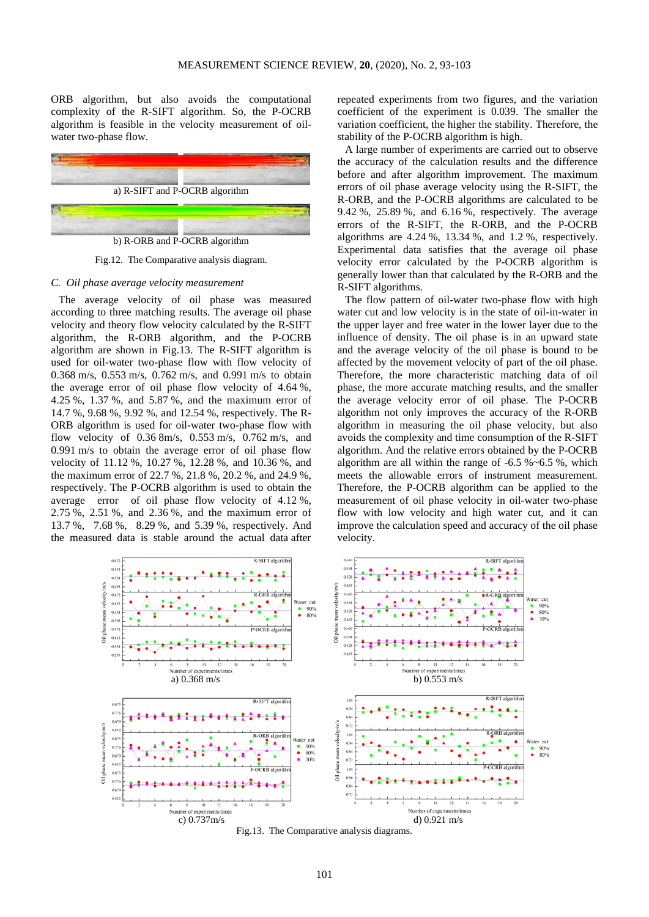ORB algorithm, but also avoids the computational complexity of the R-SIFT algorithm. So, the P-OCRB algorithm is feasible in the velocity measurement of oilwater two-phase flow.



Fig.12. The Comparative analysis diagram.

#### *C. Oil phase average velocity measurement*

The average velocity of oil phase was measured according to three matching results. The average oil phase velocity and theory flow velocity calculated by the R-SIFT algorithm, the R-ORB algorithm, and the P-OCRB algorithm are shown in Fig.13. The R-SIFT algorithm is used for oil-water two-phase flow with flow velocity of 0.368 m/s, 0.553 m/s, 0.762 m/s, and 0.991 m/s to obtain the average error of oil phase flow velocity of 4.64 %, 4.25 %, 1.37 %, and 5.87 %, and the maximum error of 14.7 %, 9.68 %, 9.92 %, and 12.54 %, respectively. The R-ORB algorithm is used for oil-water two-phase flow with flow velocity of 0.36 8m/s, 0.553 m/s, 0.762 m/s, and 0.991 m/s to obtain the average error of oil phase flow velocity of 11.12 %, 10.27 %, 12.28 %, and 10.36 %, and the maximum error of 22.7 %, 21.8 %, 20.2 %, and 24.9 %, respectively. The P-OCRB algorithm is used to obtain the average error of oil phase flow velocity of 4.12 %, 2.75 %, 2.51 %, and 2.36 %, and the maximum error of 13.7 %, 7.68 %, 8.29 %, and 5.39 %, respectively. And the measured data is stable around the actual data after

repeated experiments from two figures, and the variation coefficient of the experiment is 0.039. The smaller the variation coefficient, the higher the stability. Therefore, the stability of the P-OCRB algorithm is high.

A large number of experiments are carried out to observe the accuracy of the calculation results and the difference before and after algorithm improvement. The maximum errors of oil phase average velocity using the R-SIFT, the R-ORB, and the P-OCRB algorithms are calculated to be 9.42 %, 25.89 %, and 6.16 %, respectively. The average errors of the R-SIFT, the R-ORB, and the P-OCRB algorithms are 4.24 %, 13.34 %, and 1.2 %, respectively. Experimental data satisfies that the average oil phase velocity error calculated by the P-OCRB algorithm is generally lower than that calculated by the R-ORB and the R-SIFT algorithms.

The flow pattern of oil-water two-phase flow with high water cut and low velocity is in the state of oil-in-water in the upper layer and free water in the lower layer due to the influence of density. The oil phase is in an upward state and the average velocity of the oil phase is bound to be affected by the movement velocity of part of the oil phase. Therefore, the more characteristic matching data of oil phase, the more accurate matching results, and the smaller the average velocity error of oil phase. The P-OCRB algorithm not only improves the accuracy of the R-ORB algorithm in measuring the oil phase velocity, but also avoids the complexity and time consumption of the R-SIFT algorithm. And the relative errors obtained by the P-OCRB algorithm are all within the range of  $-6.5$  % $-6.5$  %, which meets the allowable errors of instrument measurement. Therefore, the P-OCRB algorithm can be applied to the measurement of oil phase velocity in oil-water two-phase flow with low velocity and high water cut, and it can improve the calculation speed and accuracy of the oil phase velocity.



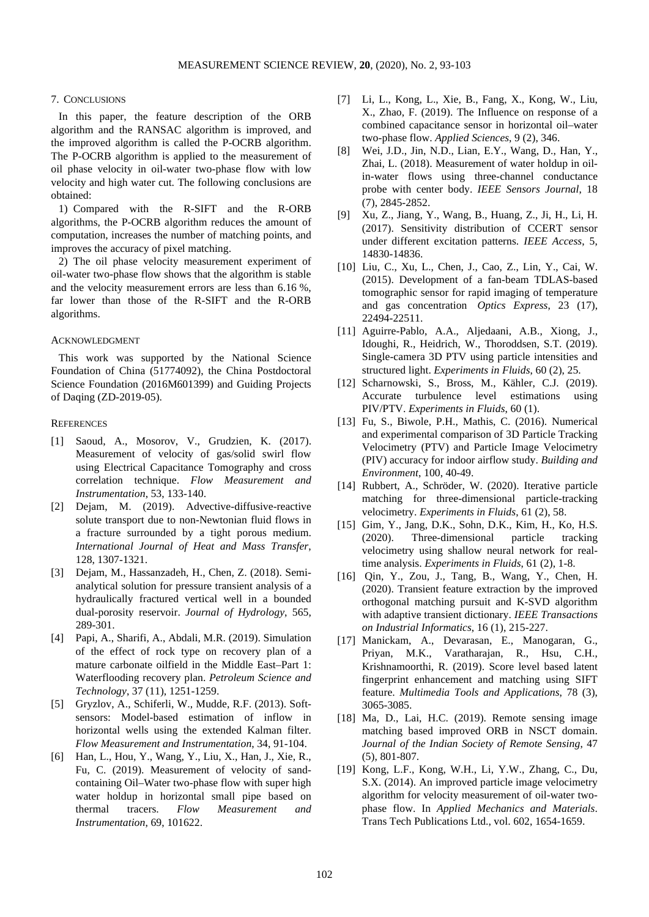# 7. CONCLUSIONS

In this paper, the feature description of the ORB algorithm and the RANSAC algorithm is improved, and the improved algorithm is called the P-OCRB algorithm. The P-OCRB algorithm is applied to the measurement of oil phase velocity in oil-water two-phase flow with low velocity and high water cut. The following conclusions are obtained:

1) Compared with the R-SIFT and the R-ORB algorithms, the P-OCRB algorithm reduces the amount of computation, increases the number of matching points, and improves the accuracy of pixel matching.

2) The oil phase velocity measurement experiment of oil-water two-phase flow shows that the algorithm is stable and the velocity measurement errors are less than 6.16 %, far lower than those of the R-SIFT and the R-ORB algorithms.

# ACKNOWLEDGMENT

This work was supported by the National Science Foundation of China (51774092), the China Postdoctoral Science Foundation (2016M601399) and Guiding Projects of Daqing (ZD-2019-05).

## **REFERENCES**

- [1] Saoud, A., Mosorov, V., Grudzien, K. (2017). Measurement of velocity of gas/solid swirl flow using Electrical Capacitance Tomography and cross correlation technique. *Flow Measurement and Instrumentation*, 53, 133-140.
- [2] Dejam, M. (2019). Advective-diffusive-reactive solute transport due to non-Newtonian fluid flows in a fracture surrounded by a tight porous medium. *International Journal of Heat and Mass Transfer*, 128, 1307-1321.
- [3] Dejam, M., Hassanzadeh, H., Chen, Z. (2018). Semianalytical solution for pressure transient analysis of a hydraulically fractured vertical well in a bounded dual-porosity reservoir. *Journal of Hydrology*, 565, 289-301.
- [4] Papi, A., Sharifi, A., Abdali, M.R. (2019). Simulation of the effect of rock type on recovery plan of a mature carbonate oilfield in the Middle East–Part 1: Waterflooding recovery plan. *Petroleum Science and Technology*, 37 (11), 1251-1259.
- [5] Gryzlov, A., Schiferli, W., Mudde, R.F. (2013). Softsensors: Model-based estimation of inflow in horizontal wells using the extended Kalman filter. *Flow Measurement and Instrumentation*, 34, 91-104.
- [6] Han, L., Hou, Y., Wang, Y., Liu, X., Han, J., Xie, R., Fu, C. (2019). Measurement of velocity of sandcontaining Oil–Water two-phase flow with super high water holdup in horizontal small pipe based on thermal tracers. *Flow Measurement and Instrumentation*, 69, 101622.
- [7] Li, L., Kong, L., Xie, B., Fang, X., Kong, W., Liu, X., Zhao, F. (2019). The Influence on response of a combined capacitance sensor in horizontal oil–water two-phase flow. *Applied Sciences*, 9 (2), 346.
- [8] Wei, J.D., Jin, N.D., Lian, E.Y., Wang, D., Han, Y., Zhai, L. (2018). Measurement of water holdup in oilin-water flows using three-channel conductance probe with center body. *IEEE Sensors Journal*, 18 (7), 2845-2852.
- [9] Xu, Z., Jiang, Y., Wang, B., Huang, Z., Ji, H., Li, H. (2017). Sensitivity distribution of CCERT sensor under different excitation patterns. *IEEE Access*, 5, 14830-14836.
- [10] Liu, C., Xu, L., Chen, J., Cao, Z., Lin, Y., Cai, W. (2015). Development of a fan-beam TDLAS-based tomographic sensor for rapid imaging of temperature and gas concentration *Optics Express*, 23 (17), 22494-22511.
- [11] Aguirre-Pablo, A.A., Aljedaani, A.B., Xiong, J., Idoughi, R., Heidrich, W., Thoroddsen, S.T. (2019). Single-camera 3D PTV using particle intensities and structured light. *Experiments in Fluids*, 60 (2), 25.
- [12] Scharnowski, S., Bross, M., Kähler, C.J. (2019). Accurate turbulence level estimations using PIV/PTV. *Experiments in Fluids*, 60 (1).
- [13] Fu, S., Biwole, P.H., Mathis, C. (2016). Numerical and experimental comparison of 3D Particle Tracking Velocimetry (PTV) and Particle Image Velocimetry (PIV) accuracy for indoor airflow study. *Building and Environment*, 100, 40-49.
- [14] Rubbert, A., Schröder, W. (2020). Iterative particle matching for three-dimensional particle-tracking velocimetry. *Experiments in Fluids*, 61 (2), 58.
- [15] Gim, Y., Jang, D.K., Sohn, D.K., Kim, H., Ko, H.S. (2020). Three-dimensional particle tracking velocimetry using shallow neural network for realtime analysis. *Experiments in Fluids*, 61 (2), 1-8.
- [16] Qin, Y., Zou, J., Tang, B., Wang, Y., Chen, H. (2020). Transient feature extraction by the improved orthogonal matching pursuit and K-SVD algorithm with adaptive transient dictionary. *IEEE Transactions on Industrial Informatics*, 16 (1), 215-227.
- [17] Manickam, A., Devarasan, E., Manogaran, G., Priyan, M.K., Varatharajan, R., Hsu, C.H., Krishnamoorthi, R. (2019). Score level based latent fingerprint enhancement and matching using SIFT feature. *Multimedia Tools and Applications*, 78 (3), 3065-3085.
- [18] Ma, D., Lai, H.C. (2019). Remote sensing image matching based improved ORB in NSCT domain. *Journal of the Indian Society of Remote Sensing*, 47 (5), 801-807.
- [19] Kong, L.F., Kong, W.H., Li, Y.W., Zhang, C., Du, S.X. (2014). An improved particle image velocimetry algorithm for velocity measurement of oil-water twophase flow. In *Applied Mechanics and Materials*. Trans Tech Publications Ltd., vol. 602, 1654-1659.